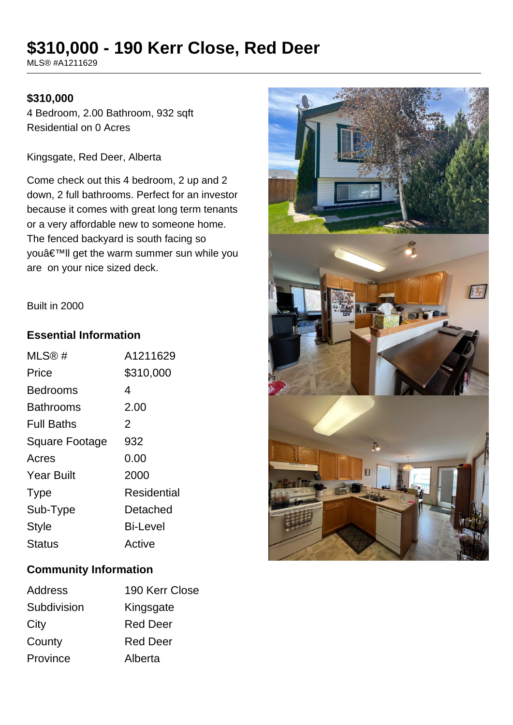# **\$310,000 - 190 Kerr Close, Red Deer**

MLS® #A1211629

#### **\$310,000**

4 Bedroom, 2.00 Bathroom, 932 sqft Residential on 0 Acres

Kingsgate, Red Deer, Alberta

Come check out this 4 bedroom, 2 up and 2 down, 2 full bathrooms. Perfect for an investor because it comes with great long term tenants or a very affordable new to someone home. The fenced backyard is south facing so you'II get the warm summer sun while you are on your nice sized deck.



Built in 2000

#### **Essential Information**

| MLS@#                 | A1211629        |
|-----------------------|-----------------|
| Price                 | \$310,000       |
| Bedrooms              | 4               |
| Bathrooms             | 2.00            |
| <b>Full Baths</b>     | 2               |
| <b>Square Footage</b> | 932             |
| Acres                 | 0.00            |
| <b>Year Built</b>     | 2000            |
| <b>Type</b>           | Residential     |
| Sub-Type              | Detached        |
| <b>Style</b>          | <b>Bi-Level</b> |
| Status                | Active          |

#### **Community Information**

| <b>Address</b> | 190 Kerr Close  |
|----------------|-----------------|
| Subdivision    | Kingsgate       |
| City           | <b>Red Deer</b> |
| County         | <b>Red Deer</b> |
| Province       | Alberta         |